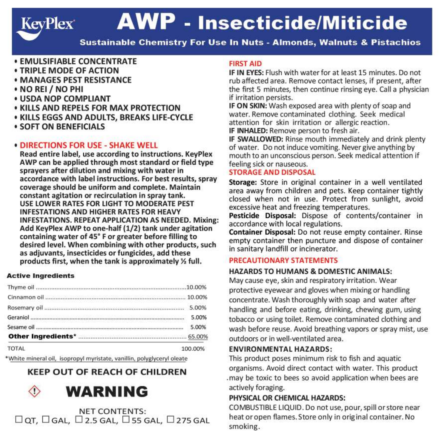# **AWP - Insecticide/Miticide**

Sustainable Chemistry For Use In Nuts - Almonds. Walnuts & Pistachios

- **FMULSIFIARLE CONCENTRATE**
- **TRIPLE MODE OF ACTION**
- **MANAGES PEST RESISTANCE**
- . NO REI / NO PHI

**KeyPlex** 

- **LISDA NOP COMPLIANT**
- **KILLS AND REPELS FOR MAX PROTECTION**
- **. KILLS EGGS AND ADULTS, BREAKS LIFE-CYCLE**
- **SOFT ON RENFFICIALS**

### · DIRECTIONS FOR USE - SHAKE WELL

Read entire label, use according to instructions, KeyPlex AWP can be applied through most standard or field type sprayers after dilution and mixing with water in accordance with label instructions. For best results, spray coverage should be uniform and complete. Maintain constant agitation or recirculation in spray tank. USE LOWER RATES FOR LIGHT TO MODERATE PEST **INFESTATIONS AND HIGHER RATES FOR HEAVY INFESTATIONS, REPEAT APPLICATION AS NEEDED. Mixing:** Add KeyPlex AWP to one-half (1/2) tank under agitation containing water of 45° F or greater before filling to desired level. When combining with other products, such as adjuvants, insecticides or fungicides, add these products first, when the tank is approximately % full.

#### **Active Ingredients**

|              | 5.00%   |
|--------------|---------|
|              | 5.00%   |
|              |         |
| <b>TOTAL</b> | 100.00% |

\*White mineral oil, isopropyl myristate, vanillin, polyglyceryl oleate

# **KEEP OUT OF REACH OF CHILDREN**



**NET CONTENTS:**  $\Box$  OT,  $\Box$  GAL,  $\Box$  2.5 GAL,  $\Box$  55 GAL,  $\Box$  275 GAL

#### **FIRST AID**

IF IN EYES: Flush with water for at least 15 minutes. Do not rub affected area. Remove contact lenses, if present, after the first 5 minutes, then continue rinsing eve. Call a physician if irritation persists.

IF ON SKIN: Wash exposed area with plenty of soap and water, Remove contaminated clothing. Seek medical attention for skin irritation or allergic reaction. IF INHALED: Remove person to fresh air.

IF SWALLOWED: Rinse mouth immediately and drink plenty

of water. Do not induce vomiting. Never give anything by mouth to an unconscious person. Seek medical attention if feeling sick or nauseous.

#### **STORAGE AND DISPOSAL**

Storage: Store in original container in a well ventilated area away from children and pets. Keep container tightly closed when not in use. Protect from sunlight, avoid excessive heat and freezing temperatures.

Pesticide Disposal: Dispose of contents/container in accordance with local regulations.

Container Disposal: Do not reuse empty container. Rinse empty container then puncture and dispose of container in sanitary landfill or incinerator.

#### PRECAUTIONARY STATEMENTS

#### HAZARDS TO HUMANS & DOMESTIC ANIMALS:

May cause eve, skin and respiratory irritation. Wear protective eyewear and gloves when mixing or handling concentrate. Wash thoroughly with soap and water after handling and before eating, drinking, chewing gum, using tobacco or using toilet. Remove contaminated clothing and wash before reuse. Avoid breathing vapors or spray mist, use outdoors or in well-ventilated area.

#### **ENVIRONMENTAL HAZARDS:**

This product poses minimum risk to fish and aquatic organisms. Avoid direct contact with water. This product .may be toxic to bees so avoid application when bees are actively foraging.

# PHYSICAL OR CHEMICAL HAZARDS:

COMBUSTIBLE LIQUID. Do not use, pour, spill or store near heat or open flames. Store only in original container. No smoking.